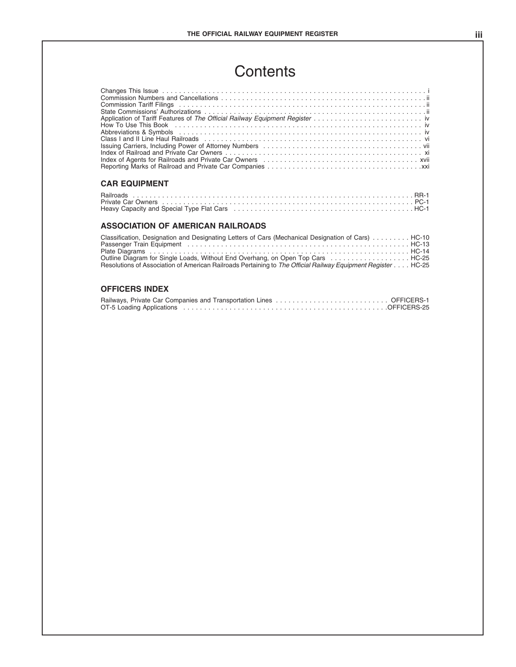### **Contents**

| Contents                                                                                                      |  |
|---------------------------------------------------------------------------------------------------------------|--|
| Index of Agents for Railroads and Private Car Owners (and all contained according to Agents for Railroads and |  |
| <b>CAR EQUIPMENT</b>                                                                                          |  |
| Heavy Capacity and Special Type Flat Cars education of the content of the content of HC-1                     |  |

| Index of Agents for Railroads and Private Car Owners (etc.) (etc.) (etc.) (etc.) (etc.) (etc.) (etc.) (etc.) xvii                                                                                                       |  |
|-------------------------------------------------------------------------------------------------------------------------------------------------------------------------------------------------------------------------|--|
| <b>CAR EQUIPMENT</b>                                                                                                                                                                                                    |  |
| Heavy Capacity and Special Type Flat Cars (exceptional content of the HC-1) HC-1                                                                                                                                        |  |
| ASSOCIATION OF AMERICAN RAILROADS                                                                                                                                                                                       |  |
| Classification, Designation and Designating Letters of Cars (Mechanical Designation of Cars)  HC-10<br>Passenger Train Equipment (and all contact and all contact and all contact and all contact and all contact HC-13 |  |

| Heavy Capacity and Special Type Flat Cars (etc.) (and the content of the state of HC-1 HC-1                                                                                                                                                                                                            |  |
|--------------------------------------------------------------------------------------------------------------------------------------------------------------------------------------------------------------------------------------------------------------------------------------------------------|--|
| ASSOCIATION OF AMERICAN RAILROADS                                                                                                                                                                                                                                                                      |  |
| Classification, Designation and Designating Letters of Cars (Mechanical Designation of Cars)  HC-10<br>Outline Diagram for Single Loads, Without End Overhang, on Open Top Cars  HC-25<br>Resolutions of Association of American Railroads Pertaining to The Official Railway Equipment Register HC-25 |  |
| <b>OFFICERS INDEX</b>                                                                                                                                                                                                                                                                                  |  |
|                                                                                                                                                                                                                                                                                                        |  |

| $\sim$ 0.000 $\sim$ 0.000 $\sim$ 0.000 $\sim$ 0.000 $\sim$ 0.000 $\sim$ 0.000 $\sim$ 0.000 $\sim$ 0.000 $\sim$ 0.000 $\sim$ 0.000 $\sim$ 0.000 $\sim$ 0.000 $\sim$ 0.000 $\sim$ 0.000 $\sim$ 0.000 $\sim$ 0.000 $\sim$ 0.000 $\sim$ 0.000 $\sim$ 0.000 $\sim$ 0.000<br>Resolutions of Association of American Railroads Pertaining to The Official Railway Equipment Register HC-25 |
|-------------------------------------------------------------------------------------------------------------------------------------------------------------------------------------------------------------------------------------------------------------------------------------------------------------------------------------------------------------------------------------|
| <b>OFFICERS INDEX</b>                                                                                                                                                                                                                                                                                                                                                               |
|                                                                                                                                                                                                                                                                                                                                                                                     |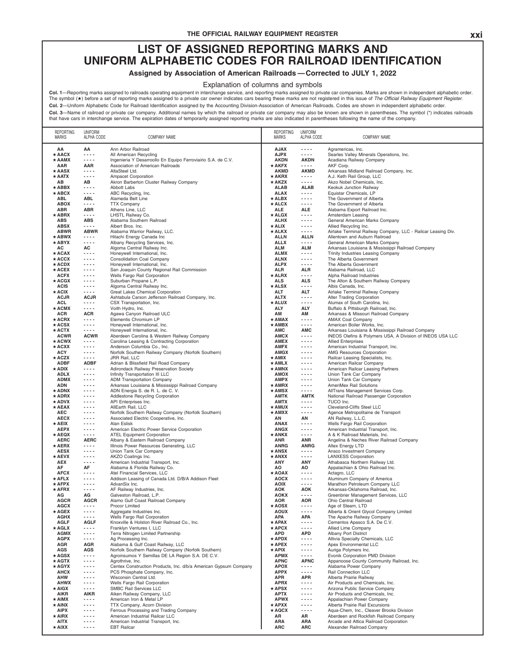# **THE OFFICIAL RAILWAY EQUIPMENT REGISTER**<br> **ASSIGNED REPORTING MARKS AND** THE OFFICIAL RAILWAY EQUIPMENT REGISTER<br>LIST OF ASSIGNED REPORTING MARKS AND<br>ALPHABETIC CODES FOR RAILROAD IDENTIFICATION<br>signed by Association of American Railroads—Corrected to JULY 1, 2022 THE OFFICIAL RAILWAY EQUIPMENT REGISTER<br> **LIST OF ASSIGNED REPORTING MARKS AND**<br>
UNIFORM ALPHABETIC CODES FOR RAILROAD IDENTIFICATION<br>
Assigned by Association of American Railroads — Corrected to JULY 1, 2022<br>
Explanation THE OFFICIAL RAILWAY EQUIPMENT REGISTER<br> **ASSIGNED REPORTING MARKS AND<br>
UNIFORM ALPHABETIC CODES FOR RAILROAD IDENTIFICATION**<br>
Assigned by Association of American Railroads — Corrected to JULY 1, 2022<br>
Explanation of colum

THE OFFICIAL RAILWAY EQUIPMENT REGISTER<br> **LIST OF ASSIGNED REPORTING MARKS AND<br>
UNIFORM ALPHABETIC CODES FOR RAILROAD IDENTIFICATION<br>
Assigned by Association of American Railroads — Corrected to JULY 1, 2022<br>
Explanation o Col. 1—Reporting marks assigned or allicates operating equipment in interchange service, and reporting marks assigned to private car companies. Marks are shown in independent alphabetic<br>The symbol (** $\star$ **) before a set of r** Explanation of columns and symbols<br>The symbol (\*) before a set of reporting marks assigned to a private car owner interchange service, and reporting marks assigned to private car companies. Marks are shown in independent a

| <b>REPORTING</b><br>MARKS    | <b>UNIFORM</b><br>ALPHA CODE | <b>COMPANY NAME</b>                                                                                     | <b>REPORTING</b><br><b>MARKS</b> | <b>UNIFORM</b><br>ALPHA CODE | <b>COMPANY NAME</b>                                                                     |
|------------------------------|------------------------------|---------------------------------------------------------------------------------------------------------|----------------------------------|------------------------------|-----------------------------------------------------------------------------------------|
| ΑA                           | ΑA                           | Ann Arbor Railroad                                                                                      | <b>AJAX</b>                      | .                            | Agramericas, Inc.                                                                       |
| $\star$ AACX                 | $- - - -$                    | All American Recycling                                                                                  | <b>AJPX</b>                      | $- - - -$                    | Searles Valley Minerals Operations, Inc.                                                |
| $\star$ AAMX                 | $- - - -$                    | Ingenieria Y Desarroollo En Equipo Ferroviairio S.A. de C.V.                                            | <b>AKDN</b>                      | AKDN                         | Acadiana Railway Company                                                                |
| AAR<br>$\star$ AASX          | AAR<br>$- - - -$             | Association of American Railroads<br>AltaSteel Ltd.                                                     | $\star$ AKFX<br><b>AKMD</b>      | $- - - -$<br><b>AKMD</b>     | AKF Corp.<br>Arkansas Midland Railroad Company, Inc.                                    |
| $\star$ AATX                 | $- - - -$                    | Ampacet Corporation                                                                                     | $\star$ AKRX                     | $\frac{1}{2}$                | A.J. Keth Rail Group, LLC                                                               |
| AВ                           | AB                           | Akron Barberton Cluster Railway Company                                                                 | * AKZX                           | ----                         | Akzo Nobel Chemicals, Inc.                                                              |
| $\star$ ABBX                 | $- - - -$                    | Abbott Labs                                                                                             | <b>ALAB</b>                      | <b>ALAB</b>                  | Keokuk Junction Railway                                                                 |
| $\star$ ABCX<br>ABL          | $- - - -$<br><b>ABL</b>      | ABC Recycling, Inc.<br>Alameda Belt Line                                                                | <b>ALAX</b><br>$\star$ ALBX      | $- - - -$<br>$\frac{1}{2}$   | Equistar Chemicals, LP<br>The Government of Alberta                                     |
| <b>ABOX</b>                  | $- - - -$                    | <b>TTX Company</b>                                                                                      | $\star$ ALCX                     | .                            | The Government of Alberta                                                               |
| ABR                          | <b>ABR</b>                   | Athens Line, LLC                                                                                        | ALE                              | ALE                          | Alabama Export Railroad Inc.                                                            |
| $\star$ ABRX                 | $- - - -$                    | LHSTL Railway Co.                                                                                       | $\star$ ALGX                     | $- - -$                      | Amsterdam Leasing                                                                       |
| <b>ABS</b><br><b>ABSX</b>    | <b>ABS</b><br>$- - - -$      | Alabama Southern Railroad<br>Albert Bros. Inc.                                                          | <b>ALHX</b><br>★ ALIX            | $- - - -$<br>.               | General American Marks Company<br>Allied Recycling Inc.                                 |
| <b>ABWR</b>                  | <b>ABWR</b>                  | Alabama Warrior Railway, LLC.                                                                           | * ALKX                           | $- - -$                      | Airlake Terminal Railway Company, LLC - Railcar Leasing Div.                            |
| $\star$ ABWX                 | $- - - -$                    | Hitachi Energy Canada Inc                                                                               | <b>ALLN</b>                      | <b>ALLN</b>                  | Allentown and Auburn Railroad                                                           |
| $\star$ ABYX                 | $- - - -$                    | Albany Recycling Services, Inc.                                                                         | <b>ALLX</b>                      | $\frac{1}{2}$                | General American Marks Company                                                          |
| AC<br>$\star$ ACAX           | AC<br>$\cdots$               | Algoma Central Railway Inc.<br>Honeywell International, Inc.                                            | <b>ALM</b><br><b>ALMX</b>        | <b>ALM</b><br>----           | Arkansas Louisiana & Mississippi Railroad Company<br>Trinity Industries Leasing Company |
| $\star$ ACCX                 | $- - - -$                    | <b>Consolidation Coal Company</b>                                                                       | <b>ALNX</b>                      | $- - -$                      | The Alberta Government                                                                  |
| $\star$ ACDX                 | $- - - -$                    | Honeywell International, Inc.                                                                           | <b>ALPX</b>                      | $\cdots$                     | The Alberta Government                                                                  |
| $\star$ ACEX                 | $- - - -$                    | San Joaquin County Regional Rail Commission                                                             | ALR                              | ALR                          | Alabama Railroad, LLC                                                                   |
| <b>ACFX</b><br>$\star$ ACGX  | $- - - -$<br>$- - - -$       | Wells Fargo Rail Corporation<br>Suburban Propane L.P.                                                   | $\star$ ALRX<br>ALS              | ----<br>ALS                  | Alpha Railroad Industries<br>The Alton & Southern Railway Company                       |
| <b>ACIS</b>                  | $- - - -$                    | Algoma Central Railway Inc.                                                                             | * ALSX                           | $- - - -$                    | Albis Canada, Inc.                                                                      |
| $\star$ ACIX                 | $- - - -$                    | Great Lakes Chemical Corporation                                                                        | ALT                              | <b>ALT</b>                   | Airlake Terminal Railway Company                                                        |
| <b>ACJR</b>                  | <b>ACJR</b>                  | Ashtabula Carson Jefferson Railroad Company, Inc.                                                       | <b>ALTX</b>                      | .                            | Alter Trading Corporation                                                               |
| <b>ACL</b>                   | $- - - -$<br>$- - - -$       | CSX Transportation, Inc.                                                                                | * ALUX<br><b>ALY</b>             | $- - -$<br>ALY               | Alumax of South Carolina, Inc.                                                          |
| $\star$ ACMX<br><b>ACR</b>   | <b>ACR</b>                   | Voith Hydro, Inc.<br>Agawa Canyon Railroad ULC                                                          | AM                               | ΑМ                           | Buffalo & Pittsburgh Railroad, Inc.<br>Arkansas & Missouri Railroad Company             |
| $\star$ ACRX                 | $- - - -$                    | Elementis Chromium LP                                                                                   | $\star$ AMAX                     | .                            | <b>AMAX Coal Company</b>                                                                |
| $\star$ ACSX                 | $\sim$ $\sim$ $\sim$ $\sim$  | Honeywell International, Inc.                                                                           | $\star$ AMBX                     | $- - -$                      | American Boiler Works, Inc.                                                             |
| $\star$ ACTX                 | $- - - -$                    | Honeywell International, Inc.                                                                           | <b>AMC</b>                       | AMC                          | Arkansas Louisiana & Mississippi Railroad Company                                       |
| <b>ACWR</b><br>$\star$ ACWX  | <b>ACWR</b><br>$- - - -$     | Aberdeen Carolina & Western Railway Company<br>Carolina Leasing & Contracting Corporation               | <b>AMCX</b><br>AMEX              | $- - - -$<br>$- - -$         | INEOS Olefins & Polymers USA, A Division of INEOS USA LLC<br><b>Allied Enterprises</b>  |
| $\star$ ACXX                 | $- - - -$                    | Anderson Columbia Co., Inc.                                                                             | <b>AMFX</b>                      | $- - -$                      | American Industrial Transport, Inc.                                                     |
| ACY                          | $- - - -$                    | Norfolk Southern Railway Company (Norfolk Southern)                                                     | <b>AMGX</b>                      | .                            | <b>AMG Resources Corporation</b>                                                        |
| $\star$ ACZX                 | $- - - -$                    | JRR Rail, LLC                                                                                           | $\star$ AMIX                     | $- - - -$                    | Railcar Leasing Specialists, Inc.                                                       |
| <b>ADBF</b><br>★ ADIX        | <b>ADBF</b><br>$- - - -$     | Adrian & Blissfield Rail Road Company<br>Adirondack Railway Preservation Society                        | $\star$ AMLX<br>$\star$ AMNX     | $- - -$<br>$\frac{1}{2}$     | American Railcar Company                                                                |
| <b>ADLX</b>                  | $- - - -$                    | Infinity Transportation III LLC                                                                         | <b>AMOX</b>                      | $\cdots$                     | American Railcar Leasing Partners<br>Union Tank Car Company                             |
| <b>ADMX</b>                  | $- - - -$                    | <b>ADM Transportation Company</b>                                                                       | <b>AMPX</b>                      | $- - - -$                    | Union Tank Car Company                                                                  |
| ADN                          | $- - - -$                    | Arkansas Louisiana & Mississippi Railroad Company                                                       | $\star$ AMRX                     | .                            | AmeriMex Rail Solutions                                                                 |
| $\star$ ADNX                 | $- - - -$                    | ADN Energia S. de R. L. de C. V.                                                                        | $\star$ AMSX                     | $\cdots$                     | AllTrans Management Services Corp.                                                      |
| $\star$ ADRX<br>$\star$ ADVX | $- - - -$<br>$- - - -$       | Addlestone Recycling Corporation<br>API Enterprises Inc.                                                | <b>AMTK</b><br><b>AMTX</b>       | <b>AMTK</b><br>$\frac{1}{2}$ | National Railroad Passenger Corporation<br>TUCO Inc.                                    |
| $\star$ AEAX                 | $- - - -$                    | AllEarth Rail, LLC                                                                                      | * AMUX                           | $- - - -$                    | Cleveland-Cliffs Steel LLC                                                              |
| <b>AEC</b>                   | $- - - -$                    | Norfolk Southern Railway Company (Norfolk Southern)                                                     | $\star$ AMXX                     | .                            | Agence Metropolitaine de Transport                                                      |
| <b>AECX</b>                  | $- - - -$                    | Associated Electric Cooperative, Inc.                                                                   | AN                               | AN                           | AN Railway, L.L.C.                                                                      |
| $\star$ AEIX<br><b>AEPX</b>  | $- - - -$<br>$- - - -$       | Alan Eslisk                                                                                             | <b>ANAX</b><br><b>ANGX</b>       | $- - - -$<br>$- - -$         | Wells Fargo Rail Corporation                                                            |
| $\star$ AEQX                 | $- - - -$                    | American Electric Power Service Corporation<br><b>ATEL Equipment Corporation</b>                        | * ANKX                           | $- - - -$                    | American Industrial Transport, Inc.<br>A & K Railroad Materials, Inc.                   |
| <b>AERC</b>                  | <b>AERC</b>                  | Albany & Eastern Railroad Company                                                                       | ANR                              | ANR                          | Angelina & Neches River Railroad Company                                                |
| $\star$ AERX                 | $- - - -$                    | Illinois Power Resources Generating, LLC                                                                | <b>ANRG</b>                      | <b>ANRG</b>                  | Altex Energy LTD                                                                        |
| <b>AESX</b>                  | $- - - -$                    | Union Tank Car Company                                                                                  | $\star$ ANSX                     | $\cdots$                     | Ansco Investment Company                                                                |
| * AEVX<br>AEX                | $- - - -$<br>$- - - -$       | AKZO Coatings Inc.<br>American Industrial Transport, Inc.                                               | $\star$ ANXX<br>ANY              | - - - -<br>ANY               | <b>LANXESS Corporation</b><br>Athabasca Northern Railway Ltd.                           |
| AF                           | AF                           | Alabama & Florida Railway Co.                                                                           | AO                               | ΑO                           | Appalachian & Ohio Railroad Inc.                                                        |
| <b>AFCX</b>                  | ----                         | Atel Financial Services, LLC                                                                            | $\star$ AOAX                     | ----                         | Actagro, LLC                                                                            |
| $\star$ AFLX                 | $- - - -$                    | Addison Leasing of Canada Ltd. D/B/A Addison Fleet                                                      | <b>AOCX</b>                      | ----                         | Aluminum Company of America                                                             |
| $\star$ AFPX<br>$\star$ AFRX | $- - - -$<br>$- - - -$       | AdvanSix Inc.                                                                                           | <b>AOIX</b>                      | .                            | Marathon Petroleum Company LLC<br>Arkansas-Oklahoma Railroad, Inc.                      |
| AG                           | AG                           | AF Railway Industries, Inc.<br>Galveston Railroad, L.P.                                                 | AOK<br><b>AOKX</b>               | AOK<br>.                     | Greenbrier Management Services, LLC                                                     |
| <b>AGCR</b>                  | <b>AGCR</b>                  | Alamo Gulf Coast Railroad Company                                                                       | <b>AOR</b>                       | <b>AOR</b>                   | Ohio Central Railroad                                                                   |
| <b>AGCX</b>                  | $- - - -$                    | Procor Limited                                                                                          | * AOSX                           | .                            | Age of Steam, LTD                                                                       |
| $\star$ AGEX                 | $- - - -$                    | Aggregate Industries Inc.                                                                               | <b>AOUX</b>                      | .                            | Alberta & Orient Glycol Company Limited                                                 |
| <b>AGHX</b><br><b>AGLF</b>   | $- - - -$<br><b>AGLF</b>     | Wells Fargo Rail Corporation<br>Knoxville & Holston River Railroad Co., Inc.                            | APA<br>$\star$ APAX              | APA<br>- - - -               | The Apache Railway Company<br>Cementos Apasco S.A. De C.V.                              |
| $\star$ AGLX                 | $- - - -$                    | Franklyn Ventures I, LLC                                                                                | $\star$ APCX                     | $- - - -$                    | Allied Lime Company                                                                     |
| <b>AGMX</b>                  | $- - - -$                    | Terra Nitrogen Limited Partnership                                                                      | APD                              | <b>APD</b>                   | <b>Albany Port District</b>                                                             |
| <b>AGPX</b>                  | $- - - -$                    | Ag Processing Inc.                                                                                      | $\star$ APDX                     | $\cdots$                     | Altivia Specialty Chemicals, LLC                                                        |
| AGR                          | AGR                          | Alabama & Gulf Coast Railway, LLC                                                                       | $\star$ APEX                     | ----                         | Apex Environmental LLC                                                                  |
| AGS<br>* AGSX                | AGS<br>$- - - -$             | Norfolk Southern Railway Company (Norfolk Southern)<br>Agroinsumos Y Semillas DE LA Region S.A. DE C.V. | ★ APIX<br><b>APMX</b>            | .<br>.                       | Auriga Polymers Inc.<br>Evonik Corporation PMD Division                                 |
| $\star$ AGTX                 | $\sim$ $\sim$ $\sim$ $\sim$  | Agrothrive, Inc.                                                                                        | <b>APNC</b>                      | <b>APNC</b>                  | Appanoose County Community Railroad, Inc.                                               |
| * AGYX                       | $- - - -$                    | Centex Construction Products, Inc. d/b/a American Gypsum Company                                        | <b>APOX</b>                      | .                            | Alabama Power Company                                                                   |
| <b>AHCX</b>                  | $- - - -$                    | PCS Phosphate Company, Inc.                                                                             | <b>APPX</b>                      | ----                         | Rail Connection LLC                                                                     |
| AHW                          | $- - - -$                    | Wisconsin Central Ltd.                                                                                  | APR                              | APR                          | Alberta Prairie Railway                                                                 |
| <b>AHWX</b><br>$\star$ AIGX  | $- - - -$<br>$- - - -$       | Wells Fargo Rail Corporation<br>SMBC Rail Services LLC                                                  | <b>APRX</b><br>$\star$ APSX      | ----<br>----                 | Air Products and Chemicals, Inc.<br>Arizona Public Service Company                      |
| <b>AIKR</b>                  | AIKR                         | Aiken Railway Company, LLC                                                                              | <b>APTX</b>                      | .                            | Air Products and Chemicals, Inc.                                                        |
| $\star$ AIMX                 | $- - - -$                    | American Iron & Metal LP                                                                                | <b>APWX</b>                      | .                            | Appalachian Power Company                                                               |
| ★ AINX                       | $- - - -$                    | TTX Company, Acorn Division                                                                             | $\star$ APXX                     | ----                         | Alberta Prairie Rail Excursions                                                         |
| <b>AIPX</b>                  | $- - - -$                    | Ferrous Processing and Trading Company                                                                  | $\star$ AQCX                     | ----                         | Aqua-Chem, Inc., Cleaver Brooks Division                                                |
| $\star$ AIRX                 | $- - - -$                    | American Industrial Railcar LLC                                                                         | AR                               | AR                           | Aberdeen and Rockfish Railroad Company                                                  |
| <b>AITX</b>                  | $- - - -$                    | American Industrial Transport, Inc.                                                                     | ARA                              | ARA                          | Arcade and Attica Railroad Corporation                                                  |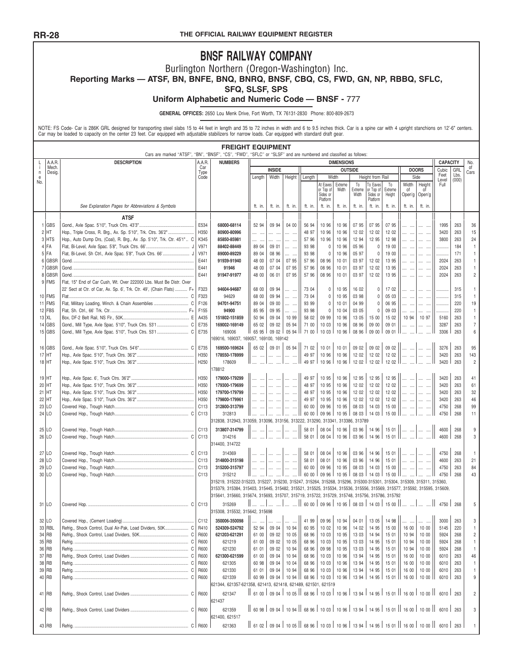FFICIAL RAILWAY EQUIPMENT REGISTER<br>**BNSF RAILWAY COMPANY**<br>in Northern (Oregon-Washington) Inc.<br>FE, BNQ, BNRQ, BNSF, CBQ, CS, FWD, GN, N<br>SFQ, SLSF, SPS THE OFFICIAL RAILWAY EQUIPMENT REGISTER<br>BINST RAILWAY COMPANY<br>Burlington Northern (Oregon-Washington) Inc.<br>F, BN, BNFE, BNQ, BNRQ, BNSF, CBQ, CS, FWD, GN<br>SFQ, SLSF, SPS THE OFFICIAL RAILWAY EQUIPMENT REGISTER<br> **BNSF RAILWAY COMPANY**<br>
BUTLINGTON Northern (Oregon-Washington) Inc.<br>
Reporting Marks — ATSF, BN, BNFE, BNQ, BNRQ, BNSF, CBQ, CS, FWD, GN, NP, RBBQ, SFLC,<br>
SFQ, SLSF, SPS<br>
Uniform A **BINSF RAILWAY COMPANY**<br>
Burlington Northern (Oregon-Washington) Inc.<br>
TSF, BN, BNFE, BNQ, BNRQ, BNSF, CBQ, CS, FWD, GN, NP, RB<br>
SFQ, SLSF, SPS<br>
Uniform Alphabetic and Numeric Code — BNSF - 777<br>
GENERAL OFFICES: 2650 Lou M

# THE OFFICIAL RAILWAY EQUIPMENT REGISTER<br>
BNSF RAILWAY COMPANY<br>
Burlington Northern (Oregon-Washington) Inc.<br>
TSF, BN, BNFE, BNQ, BNRQ, BNSF, CBQ, CS, FWD, C<br>
SFQ, SLSF, SPS<br>
Uniform Alphabetic and Numeric Code — BNSF - 777 **GENERAL OFFICES:** 2650 Lou Menk Drive, Fort Worth, TX 76131-2830 Phone: 800-809-2673<br> **GENERAL OFFICES:** 2650 Lou Menk Drive, Fort Worth, TX 76131-2830 Phone: 800-809-2673<br> **GENERAL OFFICES:** 2650 Lou Menk Drive, Fort Wor

Uniform Alphabetic and Numeric Code — BNSF - 777<br>NOTE: FS Code- Car is 286K GRL designed for transporting steel slabs 15 to 44 feet in length and 35 to 72 inches in width and 6 to 9.5 inches thick. Car is a spine car with <sup>i</sup> Mech. Car of **INSIDE OUTSIDE DOORS** Cubic GRL <sup>n</sup> Desig. Type Cars Feet Lbs. <sup>e</sup> Code Length Width Height Length Width Height from Rail Side Level (000) No. At Eaves Extreme To To Eaves To Width Height Full or Top of Width Extreme or Top of Extreme of of **DIMENSIONS<br>
Width Sides or Height from Rail CAPAC<br>
At Eaves | Extreme To | To Eaves | To | Width | Height Capacity<br>
Sides or | Width | Sides or | Extreme | To | Of | Open'g | Open'g<br>
Sides or | Width | Sides or | Height |** Platform | Platform | | *See Explanation Pages for Abbreviations & Symbols*<br> *See Explanation Pages for Abbreviations & Symbols*<br> **ATSF Explanation Pages for Abbreviations & Symbols**<br> **ATSF Explanation Pages for Abbreviations & Symbols**<br> **ATS ATSF** GBS Gond., Axle Spac. 5'10", Truck Ctrs. 43'3"................................................. E534 **68000-68114** 52 94 09 94 04 00 56 94 10 96 10 96 07 95 07 95 07 95 .... .... .... .... <sup>1995</sup> <sup>263</sup> <sup>36</sup> HT Hop., Triple Cross, R. Brg., Ax. Sp. 5'10", Trk. Ctrs. 36'2" ....................... H350 **80900-80996** .... .... .... .... .... .... 48 97 10 96 10 96 12 02 12 02 12 02 .... .... .... .... <sup>3420</sup> <sup>263</sup> <sup>15</sup> HTS Hop., Auto Dump Drs, (Coal), R. Brg., Ax .Sp. 5'10", Trk. Ctr. 45'1".. <sup>C</sup> K345 **85850-85981** .... .... .... .... .... .... 57 96 10 96 10 96 12 94 12 95 12 98 .... .... .... .... <sup>3800</sup> <sup>263</sup> <sup>24</sup> FA Flat, Bi-Level, Axle Spac. 5'8", Truck Ctrs. 66'....................................... <sup>J</sup> V971 **88402-88449** 89 04 09 01 .... .... 93 98 <sup>0</sup> 10 96 05 96 <sup>0</sup> 19 00 .... .... .... .... ........... <sup>184</sup> <sup>1</sup> FA Flat, Bi-Level, Sh Ctrl., Axle Spac. 5'8", Truck Ctrs. 66'........................ <sup>J</sup> V971 **89000-89229** 89 04 08 96 .... .... 93 98 <sup>0</sup> 10 96 05 97 <sup>0</sup> 19 00 .... .... .... .... ........... <sup>171</sup> <sup>1</sup>  $3 \text{ HTS}$   $\frac{1}{1000}$ <br>  $\frac{1}{1000}$ <br>  $\frac{1}{100}$ <br>  $\frac{1}{100}$ <br>  $\frac{1}{100}$ <br>  $\frac{1}{100}$ <br>  $\frac{1}{100}$ <br>  $\frac{1}{100}$ <br>  $\frac{1}{100}$ <br>  $\frac{1}{100}$ <br>  $\frac{1}{100}$ <br>  $\frac{1}{100}$ <br>  $\frac{1}{100}$ <br>  $\frac{1}{100}$ <br>  $\frac{1}{100}$ <br>  $\frac{1}{100}$ <br> GBSR Gond. ............................................................................................................ E441 **<sup>91946</sup>** 48 00 07 04 07 95 57 96 08 96 10 01 03 97 12 02 13 95 .... .... .... .... <sup>2024</sup> <sup>263</sup> <sup>1</sup> GBSR Gond. ............................................................................................................ E441 **91947-91977** 48 00 06 01 07 95 57 96 08 96 10 01 03 97 12 02 13 95 .... .... .... .... <sup>2024</sup> <sup>263</sup> <sup>2</sup>  $\begin{array}{|l|l|} \hline \text{4} & \text{FIA} & \text{F1at, Bi-Level, A} \hline \text{8} & \text{5} & \text{6} & \text{7} \\ \hline \text{5} & \text{FIA} & \text{Bi-Level, Sh Cth., A} \hline \text{8} & \text{5} & \text{7} \\ \hline \text{6} & \text{GBSR} & \text{Gond.} & \text{8} & \text{8} \\ \hline \text{7} & \text{GBSR} & \text{Gond.} & \text{9} \\ \hline \text{7} & \text{GBSR} & \text{Gond.} & \text{10} \\ \hline \$ 22' Sect at Ctr. of Car, Ax. Sp. 6', Trk. Ctr. 49', (Chain Flats) ........... F+ F323 **94604-94687** 68 00 09 94 .... .... 73 04 <sup>0</sup> 10 95 16 02 <sup>0</sup> 17 02 .... .... .... .... ........... <sup>315</sup> <sup>1</sup> FMS Flat........................................................................................................... <sup>C</sup> F323 <sup>94629</sup> 68 00 09 94 .... .... 73 04 <sup>0</sup> 10 95 03 98 <sup>0</sup> 05 03 .... .... .... .... ........... <sup>315</sup> <sup>1</sup> FMS Flat, Military Loading, Winch. & Chain Assemblies ............................... <sup>C</sup> F126 **94701-94751** 89 04 09 00 .... .... 93 99 <sup>0</sup> 10 01 04 99 <sup>0</sup> 06 95 .... .... .... .... ........... <sup>220</sup> <sup>19</sup> FBS Flat, Sh. Ctrl., 66' Trk. Ctr. .................................................................... F+ F155 **<sup>94900</sup>** 85 95 09 95 .... .... 93 98 <sup>0</sup> 10 04 03 05 <sup>0</sup> 09 03 .... .... .... .... ........... <sup>220</sup> <sup>1</sup> XL Box, DF-2 Belt Rail, NS Flr., 50K............................................................ <sup>E</sup> A435 **151802-151859** 50 94 09 04 10 99 58 02 09 99 10 96 13 05 15 00 15 02 10 94 10 97 <sup>5160</sup> <sup>263</sup> <sup>1</sup> GBS Gond., Mill Type, Axle Spac. 5'10", Truck Ctrs. 53'1............................ <sup>C</sup> E735 **169002-169149** 65 02 09 02 05 94 71 00 10 03 10 96 08 96 09 00 09 01 .... .... .... .... <sup>3287</sup> <sup>263</sup> <sup>7</sup> GBS Gond., Mill Type, Axle Spac. 5'10", Truck Ctrs. 53'1............................ <sup>C</sup> E735 <sup>169006</sup> 65 95 09 02 05 94 71 00 10 03 10 96 08 96 09 00 09 01 .... .... .... .... <sup>3306</sup> <sup>263</sup> <sup>6</sup> 169002-169149<br>
169002-169149<br>
169002-169149<br>
169002-169149<br>
169005<br>
169500-169624<br>
169500-169624<br>
169500-169624<br>
169500-169624<br>
169500-169624<br>
169500-169624<br>
1692<br>
1692<br>
1692<br>
1693<br>
1693<br>
1693<br>
1693<br>
1693<br>
1693<br>
1693<br>
1693 GBS Gond., Axle Spac. 5'10", Truck Ctrs. 54'6"............................................ <sup>C</sup> E735 **169500-169624** 65 02 09 01 05 94 71 02 10 01 10 01 09 02 09 02 09 02 .... .... .... .... <sup>3276</sup> <sup>263</sup> <sup>95</sup> HT Hop., Axle Spac. 5'10", Truck Ctrs. 36'2"................................................... H350 **178550-178999** .... .... .... .... .... .... 49 97 10 96 10 96 12 02 12 02 12 02 .... .... .... .... <sup>3420</sup> <sup>263</sup> <sup>143</sup> HT Hop., Axle Spac. 5'10", Truck Ctrs. 36'2"................................................... H250 <sup>178609</sup> .... .... .... .... .... .... 49 97 10 96 10 96 12 02 12 02 12 02 .... .... .... .... <sup>3420</sup> <sup>263</sup> <sup>2</sup> 178812 HT Hop., Axle Spac. 6', Truck Ctrs. 36'2" ........................................................ H350 **179000-179299** .... .... .... .... .... .... 49 97 10 95 10 96 12 95 12 95 12 95 .... .... .... .... <sup>3420</sup> <sup>263</sup> <sup>41</sup> HT Hop., Axle Spac. 5'10", Truck Ctrs. 36'2"................................................... H350 **179300-179699** .... .... .... .... .... .... 48 97 10 95 10 96 12 02 12 02 12 02 .... .... .... .... <sup>3420</sup> <sup>263</sup> <sup>61</sup> HT Hop., Axle Spac. 5'10", Truck Ctrs. 36'2"................................................... H350 **179700-179799** .... .... .... .... .... .... 48 97 10 95 10 96 12 02 12 02 12 02 .... .... .... .... <sup>3420</sup> <sup>263</sup> <sup>32</sup> HT Hop., Axle Spac. 5'10", Truck Ctrs. 36'2"................................................... H350 **179800-179961** .... .... .... .... .... .... 49 97 10 95 10 96 12 02 12 02 12 02 .... .... .... .... <sup>3420</sup> <sup>263</sup> <sup>46</sup> LO Covered Hop., Trough Hatch....................................................................... C113 **312800-313799** .... .... .... .... .... .... 60 00 09 96 10 95 08 03 14 03 15 00 .... .... .... .... <sup>4750</sup> <sup>268</sup> <sup>99</sup> LO Covered Hop., Trough Hatch.................................................................. <sup>C</sup> C113 <sup>312813</sup> .... .... .... .... .... .... 60 00 09 96 10 95 08 03 14 03 15 00 .... .... .... .... <sup>4750</sup> <sup>268</sup> <sup>11</sup> 312838, 312943, 313059, 313096, 313156, 313222, 313290, 313341, 313386, 313789 LO Covered Hop., Trough Hatch....................................................................... C113 **313807-314799** .... .... .... .... .... .... 58 01 08 04 10 96 03 96 14 96 15 01 .... .... .... .... <sup>4600</sup> <sup>268</sup> <sup>9</sup> LO Covered Hop., Trough Hatch.................................................................. <sup>C</sup> C113 <sup>314216</sup> .... .... .... .... .... .... 58 01 08 04 10 96 03 96 14 96 15 01 .... .... .... .... <sup>4600</sup> <sup>268</sup> <sup>3</sup>  $\begin{array}{|l|} \hline \rule{0mm}{3mm} & 312813 \\ \hline 312838, 312943, 313059, 313059, 313059, 314216 \\ \hline 314216 & & & \ \ \, \ldots \\ \hline 314400, 314722 & & & \ \ \, \ldots \\ \hline \end{array}$  $27 \begin{bmatrix} \text{100} & \text{111} & \text{121} & \text{1323} & \text{1334} & \text{1334} & \text{1334} & \text{1334} & \text{1334} & \text{1334} & \text{1334} & \text{1334} & \text{1334} & \text{1334} & \text{1334} & \text{1334} & \text{1334} & \text{1334} & \text{1334} & \text{1334} & \text{1334} & \text{1334} & \text{1334} & \text{1334}$  LO Covered Hop., Trough Hatch....................................................................... C113 **314800-315198** .... .... .... .... .... .... 58 01 08 01 10 96 03 96 14 96 15 01 .... .... .... .... <sup>4600</sup> <sup>263</sup> <sup>21</sup> LO Covered Hop., Trough Hatch....................................................................... C113 **315200-315797** .... .... .... .... .... .... 60 00 09 96 10 95 08 03 14 03 15 00 .... .... .... .... <sup>4750</sup> <sup>263</sup> <sup>84</sup> LO Covered Hop., Trough Hatch....................................................................... C113 <sup>315212</sup> .... .... .... .... .... .... 60 00 09 96 10 95 08 03 14 03 15 00 .... .... .... .... <sup>4750</sup> <sup>268</sup> <sup>43</sup>  $314369$   $314800-315198$   $315200-315797$   $315212$   $315220-315797$   $315212$   $315212$   $315212$   $315212$   $315212$   $315212$   $315212$   $315212$   $315212$   $3152123$   $3152123$   $3152123  
315224  
315230, 315247, 315230, 315$  $315219, 315212$   $314300-31579$   $315212$   $315212$   $315212$   $315212$   $315212$   $315212$   $315212$   $315212$   $315212$   $315212$   $315212$   $315212$   $315212$   $315212$   $315212$   $315212$   $315212$   $315212$   $315212$   $315212$   $315212$   $315200-315797$   $315212$   $315212$   $315222-315223, 315227, 315230, 315247, 315264, 315264, 315265, 315362, 315362, 31536, 31536, 31536, 31536, 31536, 31536, 31536, 31536, 31536, 31536, 31536, 31536, 31536, 31536, 31536, 31$  LO Covered Hop. .......................................................................................... <sup>C</sup> C113 <sup>315269</sup> .... .... .... .... .... .... 60 00 09 96 10 95 08 03 14 03 15 00 .... .... .... .... <sup>4750</sup> <sup>268</sup> <sup>5</sup> 315641, 315660, 315674, 315683, 315707, 315719, 315722, 315729, 315748, 315756, 315786, 315792<br>
315308, 315532, 315642, 315698<br>
315308, 315532, 315642, 315698<br>
315308, 315532, 315642, 315698<br>
315308, 315532, 315642, 31569 LO Covered Hop., (Cement Loading)................................................................ C112 **350006-350098** .... .... .... .... .... .... 41 99 09 96 10 94 04 01 13 05 14 98 .... .... .... .... <sup>3000</sup> <sup>263</sup> <sup>3</sup> RBL Refrig., Shock Control, Dual Air-Pak, Load Dividers, 50K..................... <sup>C</sup> R410 **524309-524792** 52 94 09 04 10 94 60 95 10 02 10 96 14 02 14 95 15 00 16 00 10 00 <sup>5145</sup> <sup>220</sup> <sup>1</sup> 34 RB<br>335006, 335006, 3153006, 3153006, 31535006, 3153500, 3153500, 3153500, 3153500, 3153500, 315530, 315530, 315530, 315530, 315530, 315530, 315530, 315530, 315530, 315530, 315530, 315530, 315530, 315530, 315530, 315530, RB Refrig. ...................................................................................................... <sup>C</sup> R600 <sup>621219</sup> 61 00 09 02 10 05 68 96 10 03 10 95 13 03 14 95 15 01 10 94 10 00 <sup>5924</sup> <sup>268</sup> <sup>1</sup> RB Refrig. ...................................................................................................... <sup>C</sup> R600 <sup>621230</sup> 61 01 09 02 10 94 68 96 09 98 10 95 13 03 14 95 15 01 10 94 10 00 <sup>5924</sup> <sup>268</sup> <sup>1</sup> 22 LO CONFER CONTROL DUALITE DESIGN EXAMPLE DESIGN EXAMPLE DESIGN EXAMPLE DESIGN EXAMPLE DESIGN EXAMPLE DESIGN EXAMPLE DESIGN EXAMPLE DESIGN EXAMPLE DESIGN EXAMPLE DESIGN EXAMPLE DESIGN EXAMPLE DESIGN EXAMPLE DESIGN EXA RB Refrig. ...................................................................................................... <sup>C</sup> R600 <sup>621305</sup> 60 98 09 04 10 04 68 96 10 03 10 96 13 94 14 95 15 01 16 00 10 00 <sup>6010</sup> <sup>263</sup> <sup>1</sup> RB Refrig. ...................................................................................................... <sup>C</sup> R600 <sup>621330</sup> 61 01 09 04 10 94 68 96 10 03 10 96 13 94 14 95 15 01 16 00 10 00 <sup>6010</sup> <sup>263</sup> <sup>1</sup>  $R = \text{Refrig.}. \text{________.} \text{________.} \text{________.} \text{________.} \text{________.} \text{________.} \text{________.} \text{________.} \text{________.} \text{________.} \text{________.} \text{________.} \text{________.} \text{________.} \text{________.} \text{________.} \text{________.} \text{________.} \text{________.} \text{________.} \text{________.} \text{________.} \text{________.} \text{________.} \text{________.} \text{________.} \text{________.} \text{________.} \text{________.} \text{________.} \text{________.} \text{________.} \text{________.} \text{________.} \text{________.} \$ 621344, 621357-621358, 621413, 621418, 621489, 621501, 621519 RB Refrig., Shock Control, Load Dividers .................................................... <sup>C</sup> R600 <sup>621347</sup> 61 00 09 04 10 05 68 96 10 03 10 96 13 94 14 95 15 01 16 00 10 00 <sup>6010</sup> <sup>263</sup> <sup>2</sup> 621437 RB Refrig., Shock Control, Load Dividers .................................................... <sup>C</sup> R600 <sup>621359</sup> 60 98 09 04 10 94 68 96 10 03 10 96 13 94 14 95 15 01 16 00 10 00 <sup>6010</sup> <sup>263</sup> <sup>3</sup> 621344, 621357-621358, 621413, 621418, 621489, 621501, 621519<br>621437 || 61 00 || 09 04 || 10 05 || 68 96 || 10 03 || 10 96 || 13 94 || 14 95 || 15 01 || 16 00 || 10 00 || <br>621437 || 60 98 || 09 04 || 10 94 || 68 96 || 10 0 RB Refrig. ...................................................................................................... <sup>C</sup> R600 <sup>621363</sup> 61 02 09 04 10 05 68 96 10 03 10 96 13 94 14 95 15 01 16 00 10 00 <sup>6010</sup> <sup>263</sup> <sup>1</sup>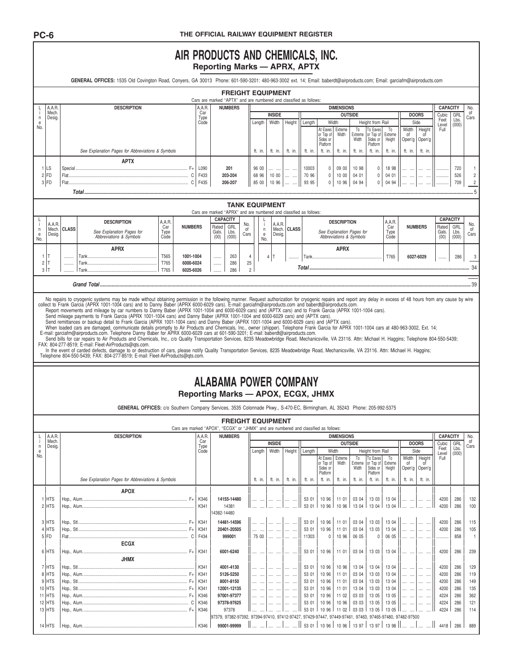## AIR PRODUCTS AND CHEMICALS, INC.

|                       |                  |              |                                                                                                                                                                                                                                                                                                                                |               |                                                                                      |              |             |                                                                                                         |                      |                                                |                      | <b>Reporting Marks - APRX, APTX</b> |                                                           |                           |                |                       |                |             |                      |                 |                        |                       |
|-----------------------|------------------|--------------|--------------------------------------------------------------------------------------------------------------------------------------------------------------------------------------------------------------------------------------------------------------------------------------------------------------------------------|---------------|--------------------------------------------------------------------------------------|--------------|-------------|---------------------------------------------------------------------------------------------------------|----------------------|------------------------------------------------|----------------------|-------------------------------------|-----------------------------------------------------------|---------------------------|----------------|-----------------------|----------------|-------------|----------------------|-----------------|------------------------|-----------------------|
|                       |                  |              | GENERAL OFFICES: 1535 Old Covington Road, Conyers, GA 30013 Phone: 601-590-3201: 480-963-3002 ext. 14; Email: baberdt@airproducts.com; Email: garciafm@airproducts.com                                                                                                                                                         |               |                                                                                      |              |             |                                                                                                         |                      |                                                |                      |                                     |                                                           |                           |                |                       |                |             |                      |                 |                        |                       |
|                       |                  |              |                                                                                                                                                                                                                                                                                                                                |               |                                                                                      |              |             | <b>FREIGHT EQUIPMENT</b>                                                                                |                      |                                                |                      |                                     |                                                           |                           |                |                       |                |             |                      |                 |                        |                       |
|                       | A.A.R.           |              | <b>DESCRIPTION</b>                                                                                                                                                                                                                                                                                                             |               |                                                                                      | A.A.R.       |             | Cars are marked "APTX" and are numbered and classified as follows:<br><b>NUMBERS</b>                    |                      |                                                |                      |                                     |                                                           | <b>DIMENSIONS</b>         |                |                       |                |             |                      | <b>CAPACITY</b> |                        | No.                   |
| n                     | Mech.<br>Desig.  |              |                                                                                                                                                                                                                                                                                                                                |               |                                                                                      | Car<br>Type  |             |                                                                                                         |                      | <b>INSIDE</b>                                  |                      |                                     |                                                           |                           | <b>OUTSIDE</b> |                       |                |             | <b>DOORS</b>         | Cubic           | GRL                    | of<br>Cars            |
| e<br>No.              |                  |              |                                                                                                                                                                                                                                                                                                                                |               |                                                                                      | Code         |             |                                                                                                         | Length               | Width                                          | Height               | Length                              |                                                           | Width                     |                | Height from Rail      |                |             | Side                 | Feet<br>Level   | Lbs.<br>(000)          |                       |
|                       |                  |              |                                                                                                                                                                                                                                                                                                                                |               |                                                                                      |              |             |                                                                                                         |                      |                                                |                      |                                     | At Eaves<br>or Top of                                     | Extreme<br>Width          | To<br>Extreme  | To Eaves<br>or Top of | To<br>Extreme  | Width<br>οf | Height<br>οf         | Full            |                        |                       |
|                       |                  |              |                                                                                                                                                                                                                                                                                                                                |               |                                                                                      |              |             |                                                                                                         |                      |                                                |                      |                                     | Sides or<br>Platform                                      |                           | Width          | Sides or<br>Platform  | Height         | Open'g      | Open'g               |                 |                        |                       |
|                       |                  |              | See Explanation Pages for Abbreviations & Symbols                                                                                                                                                                                                                                                                              |               |                                                                                      |              |             |                                                                                                         | ft. in.              | ft. in.                                        | ft. in.              | ft. in.                             | ft. in.                                                   | ft. in.                   | ft. in.        | ft. in.               | ft. in.        | ft. in.     | ft. in.              |                 |                        |                       |
|                       |                  |              | <b>APTX</b>                                                                                                                                                                                                                                                                                                                    |               |                                                                                      |              |             |                                                                                                         |                      |                                                |                      |                                     |                                                           |                           |                |                       |                |             |                      |                 |                        |                       |
|                       | 1 LS             |              |                                                                                                                                                                                                                                                                                                                                |               |                                                                                      | L090         |             | 201                                                                                                     | 96 00                | <br>$\cdots$                                   | $\cdots$<br>$\cdots$ | 10003                               | 0                                                         | 09 00                     | 10 98          | 0                     | 18 98          |             | $\cdots$<br>$\cdots$ | .               | 720                    |                       |
|                       | $2$ FD           |              |                                                                                                                                                                                                                                                                                                                                |               |                                                                                      | F433         |             | 203-204                                                                                                 | 68 96                | 10 00                                          | $\cdots$             | 70 96                               | $\mathbf 0$                                               | 10 00                     | 04 01          | 0                     | 04 01          |             | $\cdots$<br>$\cdots$ |                 | 526                    |                       |
|                       | $3$ FD           |              |                                                                                                                                                                                                                                                                                                                                |               |                                                                                      |              |             | 206-207                                                                                                 | 85 00                | 10 96                                          |                      | 93 95                               | $\mathbb O$                                               | 10 96                     | 04 94          | $\mathbb O$           | 04 94          |             |                      |                 | 709                    |                       |
|                       |                  |              |                                                                                                                                                                                                                                                                                                                                |               |                                                                                      |              |             |                                                                                                         |                      |                                                |                      |                                     |                                                           |                           |                |                       |                |             |                      |                 |                        |                       |
|                       |                  |              |                                                                                                                                                                                                                                                                                                                                |               |                                                                                      |              |             |                                                                                                         |                      | <b>TANK EQUIPMENT</b>                          |                      |                                     |                                                           |                           |                |                       |                |             |                      |                 |                        |                       |
|                       |                  |              |                                                                                                                                                                                                                                                                                                                                |               |                                                                                      |              |             | Cars are marked "APRX" and are numbered and classified as follows:                                      |                      |                                                |                      |                                     |                                                           |                           |                |                       |                |             |                      |                 |                        |                       |
|                       | A.A.R.           |              | <b>DESCRIPTION</b>                                                                                                                                                                                                                                                                                                             | A.A.R.<br>Car | <b>NUMBERS</b>                                                                       |              | Rated       | <b>CAPACITY</b><br>GRL                                                                                  | No.                  | A.A.R.                                         |                      |                                     |                                                           | <b>DESCRIPTION</b>        |                |                       | A.A.R.<br>Car  |             | <b>NUMBERS</b>       | Rated           | <b>CAPACITY</b><br>GRL | No.                   |
| n<br>$\mathbf{e}$     | Mech.<br>Desig.  | <b>CLASS</b> | See Explanation Pages for<br>Abbreviations & Symbols                                                                                                                                                                                                                                                                           | Type          |                                                                                      |              | Gals.       | Lbs.                                                                                                    | of<br>Cars           | Mech.<br>$\mathsf{n}$<br>Desig.<br>$\mathsf e$ | <b>CLASS</b>         |                                     |                                                           | See Explanation Pages for |                |                       | Type           |             |                      | Gals.           | Lbs.                   | 0f<br>Cars            |
| No.                   |                  |              |                                                                                                                                                                                                                                                                                                                                | Code          |                                                                                      |              | (00)        | (000)                                                                                                   |                      | No.                                            |                      |                                     |                                                           | Abbreviations & Symbols   |                |                       | Code           |             |                      | (00)            | (000)                  |                       |
|                       |                  |              | <b>APRX</b>                                                                                                                                                                                                                                                                                                                    |               |                                                                                      |              |             |                                                                                                         |                      |                                                |                      |                                     |                                                           | <b>APRX</b>               |                |                       |                |             |                      |                 |                        |                       |
| 1                     |                  |              |                                                                                                                                                                                                                                                                                                                                | T565          | 1001-1004                                                                            |              |             | 263                                                                                                     | 4                    | 4                                              |                      |                                     |                                                           |                           |                |                       | T765           |             | 6027-6029            |                 | 286                    |                       |
| $\overline{c}$<br>3 T | IΤ               |              |                                                                                                                                                                                                                                                                                                                                | T765<br>T765  | 6000-6024<br>6025-6026                                                               |              |             | 286<br>286                                                                                              | 25<br>$\overline{c}$ |                                                |                      |                                     |                                                           |                           |                |                       |                |             |                      |                 |                        |                       |
|                       |                  |              |                                                                                                                                                                                                                                                                                                                                |               |                                                                                      |              |             |                                                                                                         |                      |                                                |                      |                                     |                                                           |                           |                |                       |                |             |                      |                 |                        |                       |
|                       |                  |              |                                                                                                                                                                                                                                                                                                                                |               |                                                                                      |              |             |                                                                                                         |                      |                                                |                      |                                     |                                                           |                           |                |                       |                |             |                      |                 |                        |                       |
|                       |                  |              | No repairs to cryogenic systems may be made without obtaining permission in the following manner. Request authorization for cryogenic repairs and report any delay in excess of 48 hours from any cause by wire                                                                                                                |               |                                                                                      |              |             |                                                                                                         |                      |                                                |                      |                                     |                                                           |                           |                |                       |                |             |                      |                 |                        |                       |
|                       |                  |              | collect to Frank Garcia (APRX 1001-1004 cars) and to Danny Baber (APRX 6000-6029 cars). E-mail: garciafm@airproducts.com and baberdt@airproducts.com.                                                                                                                                                                          |               |                                                                                      |              |             |                                                                                                         |                      |                                                |                      |                                     |                                                           |                           |                |                       |                |             |                      |                 |                        |                       |
|                       |                  |              | Report movements and mileage by car numbers to Danny Baber (APRX 1001-1004 and 6000-6029 cars) and (APTX cars) and to Frank Garcia (APRX 1001-1004 cars).<br>Send mileage payments to Frank Garcia (APRX 1001-1004 cars) and Danny Baber (APRX 1001-1004 and 6000-6029 cars) and (APTX cars).                                  |               |                                                                                      |              |             |                                                                                                         |                      |                                                |                      |                                     |                                                           |                           |                |                       |                |             |                      |                 |                        |                       |
|                       |                  |              | Send remittances or backup detail to Frank Garcia (APRX 1001-1004 cars) and Danny Baber (APRX 1001-1004 and 6000-6029 cars) and (APTX cars).                                                                                                                                                                                   |               |                                                                                      |              |             |                                                                                                         |                      |                                                |                      |                                     |                                                           |                           |                |                       |                |             |                      |                 |                        |                       |
|                       |                  |              | When loaded cars are damaged, communicate details promptly to Air Products and Chemicals, Inc., owner (shipper). Telephone Frank Garcia for APRX 1001-1004 cars at 480-963-3002, Ext. 14;<br>E-mail: garciafm@airproducts.com. Telephone Danny Baber for APRX 6000-6029 cars at 601-590-3201; E-mail: baberdt@airproducts.com. |               |                                                                                      |              |             |                                                                                                         |                      |                                                |                      |                                     |                                                           |                           |                |                       |                |             |                      |                 |                        |                       |
|                       |                  |              | Send bills for car repairs to Air Products and Chemicals, Inc., c/o Quality Transportation Services, 8235 Meadowbridge Road, Mechanicsville, VA 23116. Attn: Michael H. Haggins; Telephone 804-550-5439;                                                                                                                       |               |                                                                                      |              |             |                                                                                                         |                      |                                                |                      |                                     |                                                           |                           |                |                       |                |             |                      |                 |                        |                       |
|                       |                  |              | FAX: 804-277-8519; E-mail: Fleet-AirProducts@gts.com.                                                                                                                                                                                                                                                                          |               |                                                                                      |              |             |                                                                                                         |                      |                                                |                      |                                     |                                                           |                           |                |                       |                |             |                      |                 |                        |                       |
|                       |                  |              | In the event of carded defects, damage to or destruction of cars, please notify Quality Transportation Services, 8235 Meadowbridge Road, Mechanicsville, VA 23116. Attn: Michael H. Haggins;<br>Telephone 804-550-5439; FAX: 804-277-8519; E-mail: Fleet-AirProducts@qts.com.                                                  |               |                                                                                      |              |             |                                                                                                         |                      |                                                |                      |                                     |                                                           |                           |                |                       |                |             |                      |                 |                        |                       |
|                       |                  |              |                                                                                                                                                                                                                                                                                                                                |               |                                                                                      |              |             |                                                                                                         |                      |                                                |                      |                                     |                                                           |                           |                |                       |                |             |                      |                 |                        |                       |
|                       |                  |              |                                                                                                                                                                                                                                                                                                                                |               |                                                                                      |              |             |                                                                                                         |                      |                                                |                      |                                     |                                                           |                           |                |                       |                |             |                      |                 |                        |                       |
|                       |                  |              |                                                                                                                                                                                                                                                                                                                                |               |                                                                                      |              |             |                                                                                                         |                      |                                                |                      |                                     |                                                           |                           |                |                       |                |             |                      |                 |                        |                       |
|                       |                  |              |                                                                                                                                                                                                                                                                                                                                |               |                                                                                      |              |             |                                                                                                         |                      |                                                |                      |                                     |                                                           |                           |                |                       |                |             |                      |                 |                        |                       |
|                       |                  |              |                                                                                                                                                                                                                                                                                                                                |               |                                                                                      |              |             | <b>ALABAMA POWER COMPANY</b>                                                                            |                      |                                                |                      |                                     |                                                           |                           |                |                       |                |             |                      |                 |                        |                       |
|                       |                  |              |                                                                                                                                                                                                                                                                                                                                |               |                                                                                      |              |             | Reporting Marks - APOX, ECGX, JHMX                                                                      |                      |                                                |                      |                                     |                                                           |                           |                |                       |                |             |                      |                 |                        |                       |
|                       |                  |              | GENERAL OFFICES: c/o Southern Company Services, 3535 Colonnade Pkwy., S-470-EC, Birmingham, AL 35243 Phone: 205-992-5375                                                                                                                                                                                                       |               |                                                                                      |              |             |                                                                                                         |                      |                                                |                      |                                     |                                                           |                           |                |                       |                |             |                      |                 |                        |                       |
|                       |                  |              |                                                                                                                                                                                                                                                                                                                                |               |                                                                                      |              |             |                                                                                                         |                      |                                                |                      |                                     |                                                           |                           |                |                       |                |             |                      |                 |                        |                       |
|                       |                  |              |                                                                                                                                                                                                                                                                                                                                |               | Cars are marked "APOX". "ECGX" or "JHMX" and are numbered and classified as follows: |              |             | <b>FREIGHT EQUIPMENT</b>                                                                                |                      |                                                |                      |                                     |                                                           |                           |                |                       |                |             |                      |                 |                        |                       |
|                       | A.A.R.           |              | <b>DESCRIPTION</b>                                                                                                                                                                                                                                                                                                             |               |                                                                                      | A.A.R.       |             | <b>NUMBERS</b>                                                                                          |                      |                                                |                      |                                     |                                                           | <b>DIMENSIONS</b>         |                |                       |                |             |                      | <b>CAPACITY</b> |                        | No.                   |
| n                     | Mech.<br>Desig.  |              |                                                                                                                                                                                                                                                                                                                                |               |                                                                                      | Car<br>Type  |             |                                                                                                         |                      | <b>INSIDE</b>                                  |                      |                                     |                                                           |                           | <b>OUTSIDE</b> |                       |                |             | <b>DOORS</b>         | Cubic           | GRL                    | of<br>Cars            |
| $\mathbf e$<br>No.    |                  |              |                                                                                                                                                                                                                                                                                                                                |               |                                                                                      | Code         |             |                                                                                                         | Length               | Width                                          | Height               | Length                              |                                                           | Width                     |                | Height from Rail      |                |             | Side                 | Feet<br>Level   | Lbs.<br>(000)          |                       |
|                       |                  |              |                                                                                                                                                                                                                                                                                                                                |               |                                                                                      |              |             |                                                                                                         |                      |                                                |                      |                                     | At Eaves<br>or Top of                                     | Extreme<br>Width          | To<br>Extreme  | To Eaves<br>or Top of | To<br>Extreme  | Width<br>0f | Height               | Full            |                        |                       |
|                       |                  |              |                                                                                                                                                                                                                                                                                                                                |               |                                                                                      |              |             |                                                                                                         |                      |                                                |                      |                                     | Sides or<br>Platform                                      |                           | Width          | Sides or<br>Platform  | Height         |             | Open'g   Open'g      |                 |                        |                       |
|                       |                  |              | See Explanation Pages for Abbreviations & Symbols                                                                                                                                                                                                                                                                              |               |                                                                                      |              |             |                                                                                                         | ft. in.              | ft. in.                                        | ft. in.              | ft. in.                             | ft. in.                                                   | ft. in.                   | ft. in.        | ft. in.               | ft. in.        | ft. in.     | ft. in.              |                 |                        |                       |
|                       |                  |              | <b>APOX</b>                                                                                                                                                                                                                                                                                                                    |               |                                                                                      |              |             |                                                                                                         |                      |                                                |                      |                                     |                                                           |                           |                |                       |                |             |                      |                 |                        |                       |
|                       | 1 HTS            |              |                                                                                                                                                                                                                                                                                                                                |               |                                                                                      | K346         |             | 14155-14480                                                                                             |                      |                                                |                      | 53 01                               | 10 96                                                     | 11 01                     | 03 04          | 13 03                 | 13 04          |             |                      | 4200            | 286                    | 132                   |
|                       | 2 HTS            |              |                                                                                                                                                                                                                                                                                                                                |               |                                                                                      | K341         |             | 14381                                                                                                   |                      |                                                |                      | 53 01                               | 10 96                                                     | 10 96                     | 13 04          | 13 04                 | 13 04          |             |                      | 4200            | 286                    | 100                   |
|                       |                  |              |                                                                                                                                                                                                                                                                                                                                |               |                                                                                      |              | 14382-14480 |                                                                                                         |                      |                                                |                      |                                     |                                                           |                           |                |                       |                |             |                      |                 |                        |                       |
|                       | 3 HTS            |              |                                                                                                                                                                                                                                                                                                                                |               |                                                                                      | K341         |             | 14481-14596                                                                                             |                      |                                                |                      | 53 01                               | 10 96                                                     | 11 01                     | 03 04          | 13 03                 | 13 04          |             |                      | 4200            | 286                    | 115                   |
|                       | 4 HTS            |              |                                                                                                                                                                                                                                                                                                                                |               |                                                                                      | K341         |             | 20401-20505                                                                                             |                      |                                                |                      | 53 01                               | 10 96                                                     | 11 01                     | 03 04          | 13 03                 | 13 04          |             |                      | 4200            | 286                    | 105<br>$\overline{1}$ |
|                       | $5$ FD           |              | <b>ECGX</b>                                                                                                                                                                                                                                                                                                                    |               |                                                                                      | F434         |             | 999001                                                                                                  | 75 00                |                                                |                      | 11303                               | $\mathbf 0$                                               | 10 96                     | 06 05          | $\mathbb O$           | 06 05          |             |                      |                 | 858                    |                       |
|                       | 6 HTS            |              |                                                                                                                                                                                                                                                                                                                                |               |                                                                                      | K341         |             | 6001-6240                                                                                               |                      |                                                |                      | 53 01                               | 10 96                                                     | 11 01                     | 03 04          | 13 03                 | 13 04          |             |                      | 4200            | 286                    | 239                   |
|                       |                  |              | <b>JHMX</b>                                                                                                                                                                                                                                                                                                                    |               |                                                                                      |              |             |                                                                                                         |                      |                                                |                      |                                     |                                                           |                           |                |                       |                |             |                      |                 |                        |                       |
|                       | 7 HTS            |              |                                                                                                                                                                                                                                                                                                                                |               |                                                                                      | K341         |             | 4001-4130                                                                                               |                      |                                                | $\cdots$             | 53 01                               | 10 96                                                     | 10 96                     | 13 04          | 13 04                 | 13 04          |             |                      | 4200            | 286                    | 129                   |
|                       | 8 HTS            |              |                                                                                                                                                                                                                                                                                                                                |               |                                                                                      | K341         |             | 5126-5250                                                                                               | $\cdots$             |                                                | $\cdots$             | 53 01                               | 10 96                                                     | 11 01                     | 03 04          | 13 03                 | 13 04          |             | $\cdots$<br>$\sim$   | 4200            | 286                    | 119                   |
|                       | 9 HTS            |              |                                                                                                                                                                                                                                                                                                                                |               |                                                                                      | K341         |             | 8001-8150                                                                                               |                      | .                                              |                      | 53 01                               | 10 96                                                     | 11 01                     | 03 04          | 13 03                 | 13 04          |             |                      | 4200            | 286                    | 149                   |
|                       | 10 HTS           |              |                                                                                                                                                                                                                                                                                                                                |               |                                                                                      | K341         |             | 12001-12135                                                                                             |                      |                                                |                      | 53 01                               | 10 96                                                     | 11 01                     | 13 04          | 13 03                 | 13 04          |             |                      | 4200            | 286                    | 135                   |
|                       | 11 HTS<br>12 HTS |              |                                                                                                                                                                                                                                                                                                                                |               |                                                                                      | K346<br>K346 |             | 97001-97377<br>97378-97625                                                                              | $\cdots$             | <br>.                                          | <br>$\cdots$         | 53 01<br>53 01                      | 10 96<br>10 96                                            | 11 02<br>10 96            | 03 03<br>03 03 | 13 05<br>13 05        | 13 05<br>13 05 |             | $\cdots$             | 4224<br>4224    | 286<br>286             | 362<br>121            |
|                       | 13 HTS           |              |                                                                                                                                                                                                                                                                                                                                |               |                                                                                      | K346         |             | 97378                                                                                                   |                      |                                                |                      | 53 01                               | 10 96                                                     | 11 02                     | 03 03          | 13 05                 | 13 05          |             |                      | 4224            | 286                    | 114                   |
|                       |                  |              |                                                                                                                                                                                                                                                                                                                                |               |                                                                                      |              |             | 97379, 97382-97392, 97394-97410, 97412-97427, 97429-97447, 97449-97461, 97463, 97465-97480, 97482-97500 |                      |                                                |                      |                                     | $\parallel$ 53 01   10 96   10 96   13 97   13 97   13 98 |                           |                |                       |                |             |                      |                 |                        |                       |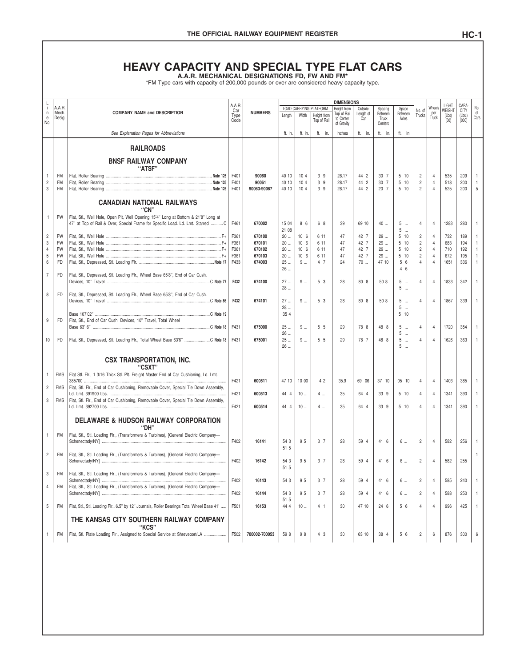# THE OFFICIAL RAILWAY EQUIPMENT REGISTER<br>
HEAVY CAPACITY AND SPECIAL TYPE FLAT CARS<br>
A.A.R. MECHANICAL DESIGNATIONS FD, FW AND FM\*<br>
\*FM Type cars with capacity of 200,000 pounds or over are considered heavy capacity type.

|                        |                        | A.A.R. MECHANICAL DESIGNATIONS FD, FW AND FM*<br>*FM Type cars with capacity of 200,000 pounds or over are considered heavy capacity type. |                       |                      |                |                                    |                                       |                                                 |                      |                    |                       |                              |                                  |                          |                      |                   |
|------------------------|------------------------|--------------------------------------------------------------------------------------------------------------------------------------------|-----------------------|----------------------|----------------|------------------------------------|---------------------------------------|-------------------------------------------------|----------------------|--------------------|-----------------------|------------------------------|----------------------------------|--------------------------|----------------------|-------------------|
|                        |                        |                                                                                                                                            |                       |                      |                |                                    |                                       |                                                 |                      |                    |                       |                              |                                  |                          |                      |                   |
| L<br>Ť.<br>$\mathsf n$ | A.A.R.<br>Mech.        | <b>COMPANY NAME and DESCRIPTION</b>                                                                                                        | A.A.R.<br>Car<br>Type | <b>NUMBERS</b>       | Lenath         | Width                              | LOAD CARRYING PLATFORM<br>Height from | <b>DIMENSIONS</b><br>Height from<br>Top of Rail | Outside<br>Length of | Spacing<br>Between | Space<br>Between      | No. of<br>Trucks             | Wheels<br>ner                    | LIGHT<br>WEIGHT<br>(Lbs) | CAPA-<br><b>CITY</b> | No.<br>0f         |
| $_{\rm e}$<br>No.      | Desig.                 |                                                                                                                                            | Code                  |                      |                |                                    | Top of Rail                           | to Center<br>of Gravity                         | Car                  | Truck<br>Centers   | Axles                 |                              | Truck                            | (00)                     | $(Lbs.)$<br>$(000)$  | Cars              |
|                        |                        | See Explanation Pages for Abbreviations                                                                                                    |                       |                      | ft. in.        | ft. in.                            | ft. in.                               | inches                                          | ft. in.              | ft. in.            | ft. in.               |                              |                                  |                          |                      |                   |
|                        |                        | <b>RAILROADS</b>                                                                                                                           |                       |                      |                |                                    |                                       |                                                 |                      |                    |                       |                              |                                  |                          |                      |                   |
|                        |                        | <b>BNSF RAILWAY COMPANY</b><br>"ATSF"                                                                                                      |                       |                      |                |                                    |                                       |                                                 |                      |                    |                       |                              |                                  |                          |                      |                   |
| $\mathbf{1}$           | <b>FM</b>              |                                                                                                                                            | F401                  | 90060                | 40 10          | 10 <sub>4</sub>                    | 39                                    | 28.17                                           | 44 2                 | 30 7               | 5 10                  | 2                            | 4                                | 535                      | 209                  | $\mathbf{1}$      |
| $\overline{c}$<br>3    | <b>FM</b><br><b>FM</b> |                                                                                                                                            | F401<br>F401          | 90061<br>90063-90067 | 40 10<br>40 10 | 104<br>104                         | 39<br>39                              | 28.17<br>28.17                                  | 44 2<br>44 2         | 30 7<br>20 7       | 510<br>510            | $\sqrt{2}$<br>$\overline{c}$ | $\overline{4}$<br>$\overline{4}$ | 518<br>525               | 200<br>200           | $\mathbf{1}$<br>5 |
|                        |                        | <b>CANADIAN NATIONAL RAILWAYS</b>                                                                                                          |                       |                      |                |                                    |                                       |                                                 |                      |                    |                       |                              |                                  |                          |                      |                   |
| $\mathbf{1}$           | <b>FW</b>              | "CN"<br>Flat, Stl., Well Hole, Open Pit, Well Opening 15'4" Long at Bottom & 21'8" Long at                                                 |                       |                      |                |                                    |                                       |                                                 |                      |                    |                       |                              |                                  |                          |                      |                   |
|                        |                        | 47" at Top of Rail & Over, Special Frame for Specific Load. Ld. Lmt. Starred  C                                                            | F461                  | 670002               | 15 04<br>21 08 | 8 6                                | 6 8                                   | 39                                              | 69 10                | 40                 | 5<br>$\cdots$<br>5    | 4                            | $\overline{4}$                   | 1283                     | 280                  | $\mathbf{1}$      |
| $\overline{c}$<br>3    | <b>FW</b><br><b>FW</b> |                                                                                                                                            | F361<br>F361          | 670100<br>670101     | 20<br>20       | 10 <sub>6</sub><br>10 <sub>6</sub> | 6 11<br>6 11                          | 47<br>47                                        | 42 7<br>42 7         | 29<br>29           | 510<br>510            | $\overline{c}$<br>$\sqrt{2}$ | 4<br>$\overline{4}$              | 732<br>683               | 189<br>194           | 1<br>1            |
| $\overline{4}$         | <b>FW</b>              |                                                                                                                                            | F361                  | 670102               | 20             | 10 <sub>6</sub>                    | 6 11                                  | 47                                              | 42 7                 | 29                 | 510                   | $\overline{c}$               | $\overline{4}$                   | 710                      | 192                  | $\mathbf{1}$      |
| 5                      | FW                     |                                                                                                                                            | F361                  | 670103               | 20             | 10 <sub>6</sub>                    | 6 11                                  | 47                                              | 42 7                 | 29                 | 510                   | $\overline{c}$               | $\overline{4}$                   | 672                      | 195                  | 1                 |
| 6                      | FD                     |                                                                                                                                            | F433                  | 674003               | 25<br>26       | 9                                  | 4 7                                   | 24                                              | 70                   | 47 10              | 5 6<br>46             | $\overline{4}$               | $\overline{4}$                   | 1651                     | 336                  | 1                 |
| $\overline{7}$         | FD                     | Flat, Stl., Depressed, Stl. Loading Flr., Wheel Base 65'8", End of Car Cush.                                                               | F432                  | 674100               | 27<br>28       | 9                                  | 5 3                                   | 28                                              | 80 8                 | 50 8               | 5<br>5                | 4                            | $\overline{4}$                   | 1833                     | 342                  | $\mathbf{1}$      |
| 8                      | FD                     | Flat, Stl., Depressed, Stl. Loading Flr., Wheel Base 65'8", End of Car Cush.                                                               | F432                  | 674101               | 27             | 9                                  | 5 3                                   | 28                                              | 80 8                 | 50 8               | 5<br>$\cdots$         | 4                            | $\overline{4}$                   | 1867                     | 339                  | $\mathbf{1}$      |
|                        |                        |                                                                                                                                            |                       |                      | 28<br>35 4     |                                    |                                       |                                                 |                      |                    | 5<br>$\ddotsc$<br>510 |                              |                                  |                          |                      |                   |
| 9                      | FD                     | Flat, Stl., End of Car Cush. Devices, 10" Travel, Total Wheel                                                                              |                       |                      |                |                                    |                                       |                                                 |                      |                    |                       |                              |                                  |                          |                      |                   |
|                        |                        |                                                                                                                                            | F431                  | 675000               | 25<br>26       | 9                                  | 5 5                                   | 29                                              | 78 8                 | 48 8               | 5<br>5                | 4                            | $\overline{4}$                   | 1720                     | 354                  | $\mathbf{1}$      |
| 10                     | FD                     | Flat, Stl., Depressed, Stl. Loading Flr., Total Wheel Base 63'6" C Note 18                                                                 | F431                  | 675001               | 25<br>26       | 9                                  | 5 5                                   | 29                                              | 78 7                 | 48 8               | 5<br>5                | 4                            | $\overline{4}$                   | 1626                     | 363                  | $\mathbf{1}$      |
|                        |                        | <b>CSX TRANSPORTATION, INC.</b>                                                                                                            |                       |                      |                |                                    |                                       |                                                 |                      |                    |                       |                              |                                  |                          |                      |                   |
| 1                      | <b>FMS</b>             | "CSXT'<br>Flat Stl. Flr., 1 3/16 Thick Stl. Plt. Freight Master End of Car Cushioning, Ld. Lmt.                                            |                       |                      |                |                                    |                                       |                                                 |                      |                    |                       |                              |                                  |                          |                      |                   |
| 2                      | <b>FMS</b>             | 385700<br>Flat, Stl. Flr., End of Car Cushioning, Removable Cover, Special Tie Down Assembly,                                              | F421                  | 600511               | 47 10          | 10 00                              | 42                                    | 35.9                                            | 69 06                | 37 10              | 05 10                 | 4                            | $\overline{4}$                   | 1403                     | 385                  | $\mathbf{1}$      |
| 3                      | <b>FMS</b>             | Flat. Stl. Flr., End of Car Cushioning. Removable Cover. Special Tie Down Assembly.                                                        | F421                  | 600513               | 44 4           | 10                                 | $4$                                   | 35                                              | 64 4                 | 33 9               | 5 10                  | 4                            | 4                                | 1341                     | 390                  | $\mathbf{1}$      |
|                        |                        |                                                                                                                                            | F421                  | 600514               | 44 4           | 10                                 | $4$                                   | 35                                              | 64 4                 | 33 9               | 5 10                  | $\overline{4}$               | $\overline{4}$                   | 1341                     | 390                  | $\mathbf{1}$      |
|                        |                        | <b>DELAWARE &amp; HUDSON RAILWAY CORPORATION</b><br>"DH'                                                                                   |                       |                      |                |                                    |                                       |                                                 |                      |                    |                       |                              |                                  |                          |                      |                   |
| $\mathbf{1}$           | <b>FM</b>              | Flat, Stl., Stl. Loading Flr., (Transformers & Turbines), [General Electric Company-                                                       | F402                  | 16141                | 54 3           | 95                                 | 3 <sub>7</sub>                        | 28                                              | 59 4                 | 41 6               | 6                     | 2                            | $\overline{4}$                   | 582                      | 256                  | 1                 |
| $\overline{c}$         | <b>FM</b>              | Flat, Stl., Stl. Loading Flr., (Transformers & Turbines), [General Electric Company-                                                       |                       |                      | 51 5           |                                    |                                       |                                                 |                      |                    |                       |                              |                                  |                          |                      | 1                 |
|                        |                        |                                                                                                                                            | F402                  | 16142                | 54 3<br>51 5   | 95                                 | 3 <sub>7</sub>                        | 28                                              | 59 4                 | 41 6               | 6                     | $\overline{c}$               | 4                                | 582                      | 255                  |                   |
| 3                      | <b>FM</b>              | Flat, Stl., Stl. Loading Flr., (Transformers & Turbines), [General Electric Company-                                                       | F402                  | 16143                | 54 3           | 95                                 | 3 7                                   | 28                                              | 59 4                 | 41 6               | 6                     | $\overline{c}$               | 4                                | 585                      | 240                  | $\mathbf{1}$      |
| 4                      | FM                     | Flat, Stl., Stl. Loading Flr., (Transformers & Turbines), [General Electric Company-                                                       | F402                  | 16144                | 54 3           | 95                                 | 3 7                                   | 28                                              | 59 4                 | 41 6               | 6                     | $\overline{c}$               | 4                                | 588                      | 250                  | 1                 |
| 5                      | FM                     | Flat, Stl., Stl. Loading Flr., 6.5" by 12" Journals, Roller Bearings Total Wheel Base 41'                                                  | F501                  | 16153                | 51 5<br>44 4   | 10                                 | 4 <sub>1</sub>                        | 30                                              | 47 10                | 24 6               | 5 6                   | 4                            | 4                                | 996                      | 425                  | $\mathbf{1}$      |
|                        |                        | THE KANSAS CITY SOUTHERN RAILWAY COMPANY                                                                                                   |                       |                      |                |                                    |                                       |                                                 |                      |                    |                       |                              |                                  |                          |                      |                   |
| 1                      | FM                     | "KCS"<br>Flat, Stl. Plate Loading Flr., Assigned to Special Service at Shreveport/LA                                                       | F502                  | 700002-700053        | 59 8           | 98                                 | 4 3                                   | 30                                              | 63 10                | 38 4               | 5 6                   | $\overline{c}$               | 6                                | 876                      | 300                  | 6                 |
|                        |                        |                                                                                                                                            |                       |                      |                |                                    |                                       |                                                 |                      |                    |                       |                              |                                  |                          |                      |                   |